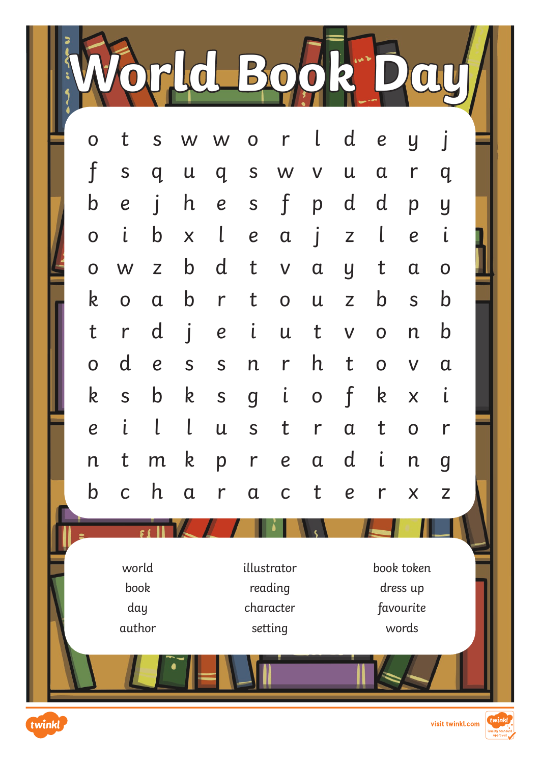**World Book Day**

| $\mathbf{L}$<br>d e<br>t<br>S W W<br>$\mathsf{r}$<br>$\overline{O}$<br>$\overline{y}$<br>$\overline{O}$<br>$\mathsf{f}$<br>S<br>S<br>$\mathsf{u}$<br>$q_{\parallel}$<br>$\mathsf{u}$<br>q<br>W<br>$\mathbf{V}$<br>$\alpha$<br>$\mathsf{r}$<br>q<br>$\mathbf{f}$<br>$\mathsf b$<br>$\mathsf{h}$<br>d d<br>S<br>$\mathbf{I}$<br>$\boldsymbol{e}$<br>$\boldsymbol{e}$<br>p<br>p<br>y<br>$\iota$<br>$\mathsf b$<br>$\lfloor$<br>$\lfloor$<br>$\overline{O}$<br>$\boldsymbol{e}$<br>Z<br>X<br>$\alpha$<br>$\boldsymbol{e}$<br>$\int$<br>$\mathsf{L}$<br>$\mathbf b$<br>d<br>t<br>t<br>$\mathsf{Z}$<br>$\mathsf{V}$<br>$\alpha$<br>$\overline{O}$<br>W<br>$\alpha$<br>$\overline{y}$<br>$\mathbf 0$<br>$\mathbf b$<br>$\mathsf b$<br>$\mathbf b$<br>k<br>$\mathbf t$<br>r<br>$\overline{O}$<br>$\mathsf{Z}$<br>S<br>$\overline{O}$<br>$\alpha$<br>$\mathsf{u}$<br>$\iota$<br>$\mathbf{j}$<br>$\mathbf b$<br>t<br>d<br>$\mathsf{r}$<br>$\boldsymbol{e}$<br>$\mathsf{u}$<br>t<br>$\mathsf{V}$<br>$\mathsf{n}$<br>$\overline{O}$<br>$\mathsf{d}$<br>$\mathsf{h}$<br>t<br>$\mathsf{r}$<br>$\boldsymbol{e}$<br>S<br>$\overline{O}$<br>S<br>n<br>$\overline{O}$<br>$\mathsf{V}$<br>$\mathfrak a$<br>$\iota$<br>$\mathsf{f}$<br>k<br>$\mathsf{k}$<br>$\mathfrak{i}$<br>$\mathsf{k}$<br>$\mathbf b$<br>S<br>S<br>X<br>$\overline{g}$<br>$\mathbf 0$<br>$\mathbf{i}$<br>$\mathsf{l}$<br>$\lfloor$<br>$\mathsf{t}$<br>t<br>$\boldsymbol{e}$<br>S<br>$\mathsf{r}$<br>$\mathsf{u}$<br>$\mathbf 0$<br>$\alpha$<br>$\mathsf{r}$<br>$\mathfrak{i}$<br>$\mathsf{k}$<br>$\mathsf t$<br>$\mathsf{d}$<br>m<br>r<br>$\boldsymbol{e}$<br>$\mathsf{n}$<br>p<br>$\alpha$<br>$\mathsf{n}$<br>$\boldsymbol{g}$<br>$\mathbf b$<br>h<br>$\mathsf{t}$<br>$\mathsf{C}$<br>$\alpha$<br>$\alpha$<br>$r_{-}$<br>$\mathsf{C}$<br>$\boldsymbol{e}$<br>$\mathsf{r}$<br>X<br>$\mathsf{Z}$<br>world<br>book token<br>illustrator<br>book<br>reading<br>dress up<br>day<br>character<br>favourite<br>author<br>words<br>setting |  |  |  |  |  |  |  |  |  |  |  |  |  |  |
|-------------------------------------------------------------------------------------------------------------------------------------------------------------------------------------------------------------------------------------------------------------------------------------------------------------------------------------------------------------------------------------------------------------------------------------------------------------------------------------------------------------------------------------------------------------------------------------------------------------------------------------------------------------------------------------------------------------------------------------------------------------------------------------------------------------------------------------------------------------------------------------------------------------------------------------------------------------------------------------------------------------------------------------------------------------------------------------------------------------------------------------------------------------------------------------------------------------------------------------------------------------------------------------------------------------------------------------------------------------------------------------------------------------------------------------------------------------------------------------------------------------------------------------------------------------------------------------------------------------------------------------------------------------------------------------------------------------------------------------------------------------------------------------------------------------------------------------------------------------------------------------------------------------------------------------------------------------------------------------|--|--|--|--|--|--|--|--|--|--|--|--|--|--|
|                                                                                                                                                                                                                                                                                                                                                                                                                                                                                                                                                                                                                                                                                                                                                                                                                                                                                                                                                                                                                                                                                                                                                                                                                                                                                                                                                                                                                                                                                                                                                                                                                                                                                                                                                                                                                                                                                                                                                                                     |  |  |  |  |  |  |  |  |  |  |  |  |  |  |
|                                                                                                                                                                                                                                                                                                                                                                                                                                                                                                                                                                                                                                                                                                                                                                                                                                                                                                                                                                                                                                                                                                                                                                                                                                                                                                                                                                                                                                                                                                                                                                                                                                                                                                                                                                                                                                                                                                                                                                                     |  |  |  |  |  |  |  |  |  |  |  |  |  |  |
|                                                                                                                                                                                                                                                                                                                                                                                                                                                                                                                                                                                                                                                                                                                                                                                                                                                                                                                                                                                                                                                                                                                                                                                                                                                                                                                                                                                                                                                                                                                                                                                                                                                                                                                                                                                                                                                                                                                                                                                     |  |  |  |  |  |  |  |  |  |  |  |  |  |  |
|                                                                                                                                                                                                                                                                                                                                                                                                                                                                                                                                                                                                                                                                                                                                                                                                                                                                                                                                                                                                                                                                                                                                                                                                                                                                                                                                                                                                                                                                                                                                                                                                                                                                                                                                                                                                                                                                                                                                                                                     |  |  |  |  |  |  |  |  |  |  |  |  |  |  |
|                                                                                                                                                                                                                                                                                                                                                                                                                                                                                                                                                                                                                                                                                                                                                                                                                                                                                                                                                                                                                                                                                                                                                                                                                                                                                                                                                                                                                                                                                                                                                                                                                                                                                                                                                                                                                                                                                                                                                                                     |  |  |  |  |  |  |  |  |  |  |  |  |  |  |
|                                                                                                                                                                                                                                                                                                                                                                                                                                                                                                                                                                                                                                                                                                                                                                                                                                                                                                                                                                                                                                                                                                                                                                                                                                                                                                                                                                                                                                                                                                                                                                                                                                                                                                                                                                                                                                                                                                                                                                                     |  |  |  |  |  |  |  |  |  |  |  |  |  |  |
|                                                                                                                                                                                                                                                                                                                                                                                                                                                                                                                                                                                                                                                                                                                                                                                                                                                                                                                                                                                                                                                                                                                                                                                                                                                                                                                                                                                                                                                                                                                                                                                                                                                                                                                                                                                                                                                                                                                                                                                     |  |  |  |  |  |  |  |  |  |  |  |  |  |  |
|                                                                                                                                                                                                                                                                                                                                                                                                                                                                                                                                                                                                                                                                                                                                                                                                                                                                                                                                                                                                                                                                                                                                                                                                                                                                                                                                                                                                                                                                                                                                                                                                                                                                                                                                                                                                                                                                                                                                                                                     |  |  |  |  |  |  |  |  |  |  |  |  |  |  |
|                                                                                                                                                                                                                                                                                                                                                                                                                                                                                                                                                                                                                                                                                                                                                                                                                                                                                                                                                                                                                                                                                                                                                                                                                                                                                                                                                                                                                                                                                                                                                                                                                                                                                                                                                                                                                                                                                                                                                                                     |  |  |  |  |  |  |  |  |  |  |  |  |  |  |
|                                                                                                                                                                                                                                                                                                                                                                                                                                                                                                                                                                                                                                                                                                                                                                                                                                                                                                                                                                                                                                                                                                                                                                                                                                                                                                                                                                                                                                                                                                                                                                                                                                                                                                                                                                                                                                                                                                                                                                                     |  |  |  |  |  |  |  |  |  |  |  |  |  |  |
|                                                                                                                                                                                                                                                                                                                                                                                                                                                                                                                                                                                                                                                                                                                                                                                                                                                                                                                                                                                                                                                                                                                                                                                                                                                                                                                                                                                                                                                                                                                                                                                                                                                                                                                                                                                                                                                                                                                                                                                     |  |  |  |  |  |  |  |  |  |  |  |  |  |  |
|                                                                                                                                                                                                                                                                                                                                                                                                                                                                                                                                                                                                                                                                                                                                                                                                                                                                                                                                                                                                                                                                                                                                                                                                                                                                                                                                                                                                                                                                                                                                                                                                                                                                                                                                                                                                                                                                                                                                                                                     |  |  |  |  |  |  |  |  |  |  |  |  |  |  |
|                                                                                                                                                                                                                                                                                                                                                                                                                                                                                                                                                                                                                                                                                                                                                                                                                                                                                                                                                                                                                                                                                                                                                                                                                                                                                                                                                                                                                                                                                                                                                                                                                                                                                                                                                                                                                                                                                                                                                                                     |  |  |  |  |  |  |  |  |  |  |  |  |  |  |
|                                                                                                                                                                                                                                                                                                                                                                                                                                                                                                                                                                                                                                                                                                                                                                                                                                                                                                                                                                                                                                                                                                                                                                                                                                                                                                                                                                                                                                                                                                                                                                                                                                                                                                                                                                                                                                                                                                                                                                                     |  |  |  |  |  |  |  |  |  |  |  |  |  |  |
|                                                                                                                                                                                                                                                                                                                                                                                                                                                                                                                                                                                                                                                                                                                                                                                                                                                                                                                                                                                                                                                                                                                                                                                                                                                                                                                                                                                                                                                                                                                                                                                                                                                                                                                                                                                                                                                                                                                                                                                     |  |  |  |  |  |  |  |  |  |  |  |  |  |  |
|                                                                                                                                                                                                                                                                                                                                                                                                                                                                                                                                                                                                                                                                                                                                                                                                                                                                                                                                                                                                                                                                                                                                                                                                                                                                                                                                                                                                                                                                                                                                                                                                                                                                                                                                                                                                                                                                                                                                                                                     |  |  |  |  |  |  |  |  |  |  |  |  |  |  |
|                                                                                                                                                                                                                                                                                                                                                                                                                                                                                                                                                                                                                                                                                                                                                                                                                                                                                                                                                                                                                                                                                                                                                                                                                                                                                                                                                                                                                                                                                                                                                                                                                                                                                                                                                                                                                                                                                                                                                                                     |  |  |  |  |  |  |  |  |  |  |  |  |  |  |
|                                                                                                                                                                                                                                                                                                                                                                                                                                                                                                                                                                                                                                                                                                                                                                                                                                                                                                                                                                                                                                                                                                                                                                                                                                                                                                                                                                                                                                                                                                                                                                                                                                                                                                                                                                                                                                                                                                                                                                                     |  |  |  |  |  |  |  |  |  |  |  |  |  |  |
|                                                                                                                                                                                                                                                                                                                                                                                                                                                                                                                                                                                                                                                                                                                                                                                                                                                                                                                                                                                                                                                                                                                                                                                                                                                                                                                                                                                                                                                                                                                                                                                                                                                                                                                                                                                                                                                                                                                                                                                     |  |  |  |  |  |  |  |  |  |  |  |  |  |  |

twi